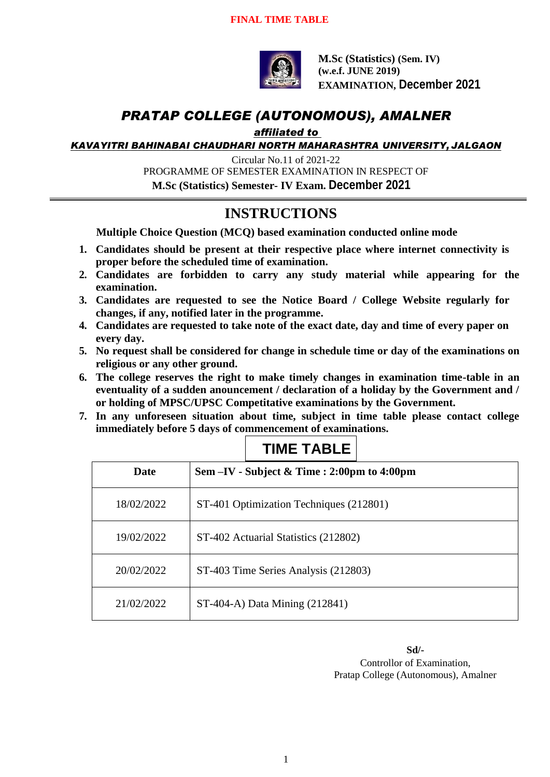

**M.Sc (Statistics) (Sem. IV) (w.e.f. JUNE 2019) EXAMINATION, December 2021**

## *PRATAP COLLEGE (AUTONOMOUS), AMALNER*

*affiliated to* 

*KAVAYITRI BAHINABAI CHAUDHARI NORTH MAHARASHTRA UNIVERSITY, JALGAON*

Circular No.11 of 2021-22 PROGRAMME OF SEMESTER EXAMINATION IN RESPECT OF **M.Sc (Statistics) Semester- IV Exam. December 2021**

### **INSTRUCTIONS**

**Multiple Choice Question (MCQ) based examination conducted online mode**

- **1. Candidates should be present at their respective place where internet connectivity is proper before the scheduled time of examination.**
- **2. Candidates are forbidden to carry any study material while appearing for the examination.**
- **3. Candidates are requested to see the Notice Board / College Website regularly for changes, if any, notified later in the programme.**
- **4. Candidates are requested to take note of the exact date, day and time of every paper on every day.**
- **5. No request shall be considered for change in schedule time or day of the examinations on religious or any other ground.**
- **6. The college reserves the right to make timely changes in examination time-table in an eventuality of a sudden anouncement / declaration of a holiday by the Government and / or holding of MPSC/UPSC Competitative examinations by the Government.**
- **7. In any unforeseen situation about time, subject in time table please contact college immediately before 5 days of commencement of examinations.**

| <b>Date</b> | Sem $-IV$ - Subject & Time : 2:00pm to 4:00pm |
|-------------|-----------------------------------------------|
| 18/02/2022  | ST-401 Optimization Techniques (212801)       |
| 19/02/2022  | ST-402 Actuarial Statistics (212802)          |
| 20/02/2022  | ST-403 Time Series Analysis (212803)          |
| 21/02/2022  | ST-404-A) Data Mining (212841)                |

### **TIME TABLE**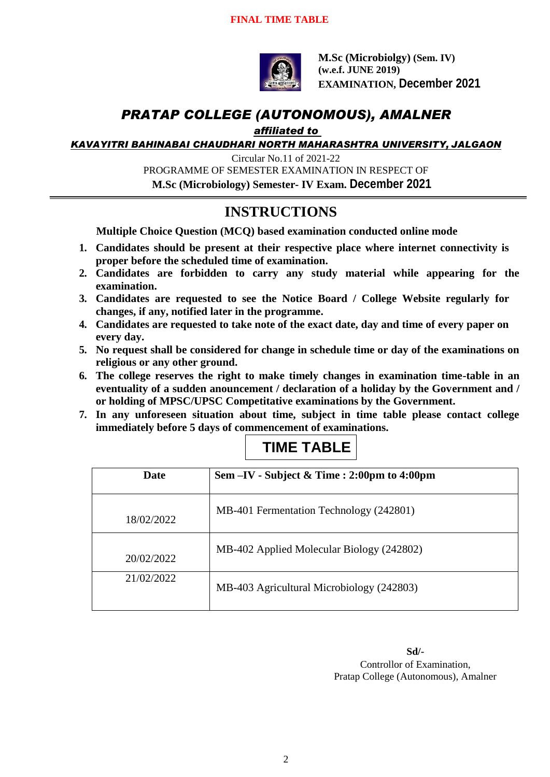

**M.Sc (Microbiolgy) (Sem. IV) (w.e.f. JUNE 2019) EXAMINATION, December 2021**

## *PRATAP COLLEGE (AUTONOMOUS), AMALNER*

*affiliated to* 

*KAVAYITRI BAHINABAI CHAUDHARI NORTH MAHARASHTRA UNIVERSITY, JALGAON*

Circular No.11 of 2021-22 PROGRAMME OF SEMESTER EXAMINATION IN RESPECT OF **M.Sc (Microbiology) Semester- IV Exam. December 2021**

# **INSTRUCTIONS**

**Multiple Choice Question (MCQ) based examination conducted online mode**

- **1. Candidates should be present at their respective place where internet connectivity is proper before the scheduled time of examination.**
- **2. Candidates are forbidden to carry any study material while appearing for the examination.**
- **3. Candidates are requested to see the Notice Board / College Website regularly for changes, if any, notified later in the programme.**
- **4. Candidates are requested to take note of the exact date, day and time of every paper on every day.**
- **5. No request shall be considered for change in schedule time or day of the examinations on religious or any other ground.**
- **6. The college reserves the right to make timely changes in examination time-table in an eventuality of a sudden anouncement / declaration of a holiday by the Government and / or holding of MPSC/UPSC Competitative examinations by the Government.**
- **7. In any unforeseen situation about time, subject in time table please contact college immediately before 5 days of commencement of examinations.**

| Date       | Sem $-IV$ - Subject & Time : 2:00pm to 4:00pm |
|------------|-----------------------------------------------|
| 18/02/2022 | MB-401 Fermentation Technology (242801)       |
| 20/02/2022 | MB-402 Applied Molecular Biology (242802)     |
| 21/02/2022 | MB-403 Agricultural Microbiology (242803)     |

### **TIME TABLE**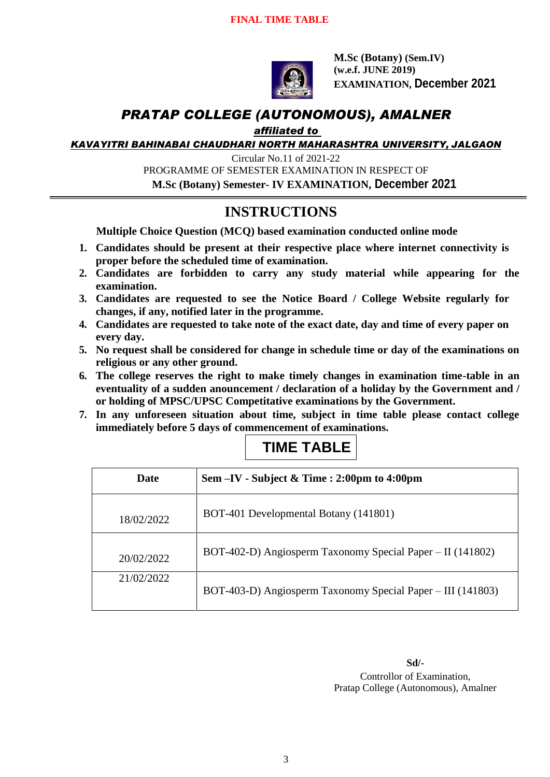

**M.Sc (Botany) (Sem.IV) (w.e.f. JUNE 2019) EXAMINATION, December 2021**

## *PRATAP COLLEGE (AUTONOMOUS), AMALNER*

#### *affiliated to*

*KAVAYITRI BAHINABAI CHAUDHARI NORTH MAHARASHTRA UNIVERSITY, JALGAON*

Circular No.11 of 2021-22 PROGRAMME OF SEMESTER EXAMINATION IN RESPECT OF **M.Sc (Botany) Semester- IV EXAMINATION, December 2021**

# **INSTRUCTIONS**

**Multiple Choice Question (MCQ) based examination conducted online mode**

- **1. Candidates should be present at their respective place where internet connectivity is proper before the scheduled time of examination.**
- **2. Candidates are forbidden to carry any study material while appearing for the examination.**
- **3. Candidates are requested to see the Notice Board / College Website regularly for changes, if any, notified later in the programme.**
- **4. Candidates are requested to take note of the exact date, day and time of every paper on every day.**
- **5. No request shall be considered for change in schedule time or day of the examinations on religious or any other ground.**
- **6. The college reserves the right to make timely changes in examination time-table in an eventuality of a sudden anouncement / declaration of a holiday by the Government and / or holding of MPSC/UPSC Competitative examinations by the Government.**
- **7. In any unforeseen situation about time, subject in time table please contact college immediately before 5 days of commencement of examinations.**

# **TIME TABLE**

| Date       | Sem $-IV$ - Subject & Time : 2:00pm to 4:00pm               |
|------------|-------------------------------------------------------------|
| 18/02/2022 | BOT-401 Developmental Botany (141801)                       |
| 20/02/2022 | BOT-402-D) Angiosperm Taxonomy Special Paper – II (141802)  |
| 21/02/2022 | BOT-403-D) Angiosperm Taxonomy Special Paper – III (141803) |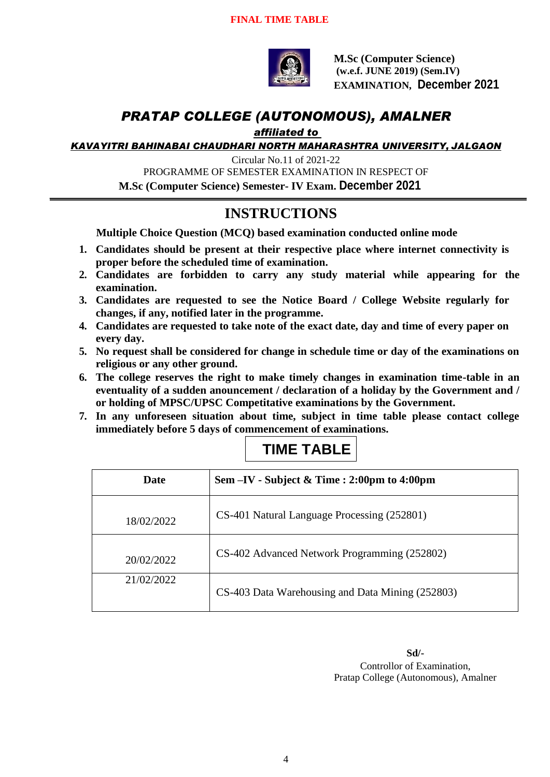

**M.Sc (Computer Science) (w.e.f. JUNE 2019) (Sem.IV) EXAMINATION, December 2021**

# *PRATAP COLLEGE (AUTONOMOUS), AMALNER*

*affiliated to* 

*KAVAYITRI BAHINABAI CHAUDHARI NORTH MAHARASHTRA UNIVERSITY, JALGAON*

Circular No.11 of 2021-22 PROGRAMME OF SEMESTER EXAMINATION IN RESPECT OF **M.Sc (Computer Science) Semester- IV Exam. December 2021**

### **INSTRUCTIONS**

**Multiple Choice Question (MCQ) based examination conducted online mode**

- **1. Candidates should be present at their respective place where internet connectivity is proper before the scheduled time of examination.**
- **2. Candidates are forbidden to carry any study material while appearing for the examination.**
- **3. Candidates are requested to see the Notice Board / College Website regularly for changes, if any, notified later in the programme.**
- **4. Candidates are requested to take note of the exact date, day and time of every paper on every day.**
- **5. No request shall be considered for change in schedule time or day of the examinations on religious or any other ground.**
- **6. The college reserves the right to make timely changes in examination time-table in an eventuality of a sudden anouncement / declaration of a holiday by the Government and / or holding of MPSC/UPSC Competitative examinations by the Government.**
- **7. In any unforeseen situation about time, subject in time table please contact college immediately before 5 days of commencement of examinations.**

| <b>TIME TABLE</b> |
|-------------------|
|                   |

| Date       | Sem $-IV$ - Subject & Time : 2:00pm to 4:00pm    |
|------------|--------------------------------------------------|
| 18/02/2022 | CS-401 Natural Language Processing (252801)      |
| 20/02/2022 | CS-402 Advanced Network Programming (252802)     |
| 21/02/2022 | CS-403 Data Warehousing and Data Mining (252803) |

**Sd/-**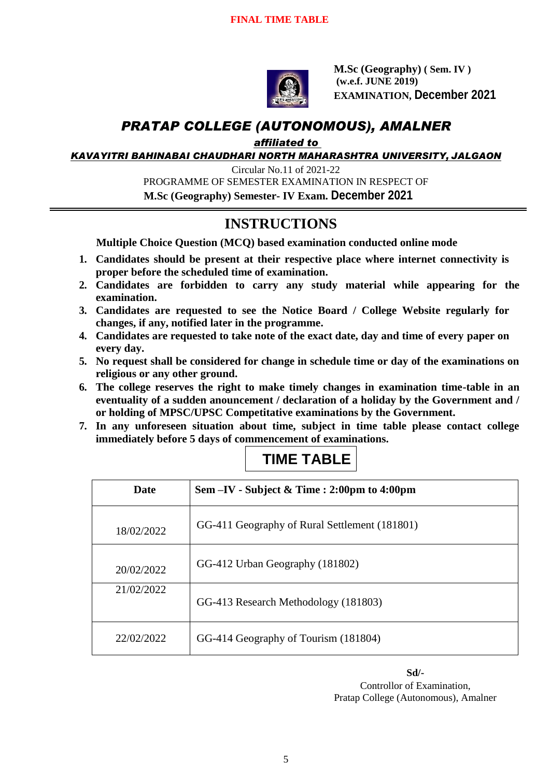

**M.Sc (Geography) ( Sem. IV ) (w.e.f. JUNE 2019) EXAMINATION, December 2021**

# *PRATAP COLLEGE (AUTONOMOUS), AMALNER*

*affiliated to* 

*KAVAYITRI BAHINABAI CHAUDHARI NORTH MAHARASHTRA UNIVERSITY, JALGAON*

Circular No.11 of 2021-22 PROGRAMME OF SEMESTER EXAMINATION IN RESPECT OF  **M.Sc (Geography) Semester- IV Exam. December 2021**

# **INSTRUCTIONS**

**Multiple Choice Question (MCQ) based examination conducted online mode**

- **1. Candidates should be present at their respective place where internet connectivity is proper before the scheduled time of examination.**
- **2. Candidates are forbidden to carry any study material while appearing for the examination.**
- **3. Candidates are requested to see the Notice Board / College Website regularly for changes, if any, notified later in the programme.**
- **4. Candidates are requested to take note of the exact date, day and time of every paper on every day.**
- **5. No request shall be considered for change in schedule time or day of the examinations on religious or any other ground.**
- **6. The college reserves the right to make timely changes in examination time-table in an eventuality of a sudden anouncement / declaration of a holiday by the Government and / or holding of MPSC/UPSC Competitative examinations by the Government.**
- **7. In any unforeseen situation about time, subject in time table please contact college immediately before 5 days of commencement of examinations.**

# **TIME TABLE**

| <b>Date</b> | Sem - IV - Subject & Time : 2:00pm to 4:00pm  |
|-------------|-----------------------------------------------|
| 18/02/2022  | GG-411 Geography of Rural Settlement (181801) |
| 20/02/2022  | GG-412 Urban Geography (181802)               |
| 21/02/2022  | GG-413 Research Methodology (181803)          |
| 22/02/2022  | GG-414 Geography of Tourism (181804)          |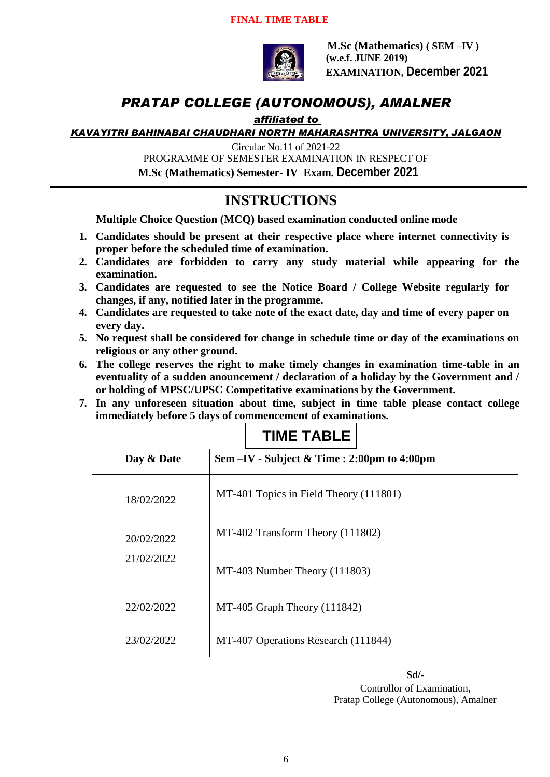

**M.Sc (Mathematics) ( SEM –IV ) (w.e.f. JUNE 2019) EXAMINATION, December 2021**

## *PRATAP COLLEGE (AUTONOMOUS), AMALNER*

#### *affiliated to*

*KAVAYITRI BAHINABAI CHAUDHARI NORTH MAHARASHTRA UNIVERSITY, JALGAON*

Circular No.11 of 2021-22

PROGRAMME OF SEMESTER EXAMINATION IN RESPECT OF

 **M.Sc (Mathematics) Semester- IV Exam. December 2021**

## **INSTRUCTIONS**

**Multiple Choice Question (MCQ) based examination conducted online mode**

- **1. Candidates should be present at their respective place where internet connectivity is proper before the scheduled time of examination.**
- **2. Candidates are forbidden to carry any study material while appearing for the examination.**
- **3. Candidates are requested to see the Notice Board / College Website regularly for changes, if any, notified later in the programme.**
- **4. Candidates are requested to take note of the exact date, day and time of every paper on every day.**
- **5. No request shall be considered for change in schedule time or day of the examinations on religious or any other ground.**
- **6. The college reserves the right to make timely changes in examination time-table in an eventuality of a sudden anouncement / declaration of a holiday by the Government and / or holding of MPSC/UPSC Competitative examinations by the Government.**
- **7. In any unforeseen situation about time, subject in time table please contact college immediately before 5 days of commencement of examinations.**

# **TIME TABLE**

| Day & Date | Sem -IV - Subject & Time : 2:00pm to 4:00pm |
|------------|---------------------------------------------|
| 18/02/2022 | MT-401 Topics in Field Theory (111801)      |
| 20/02/2022 | MT-402 Transform Theory (111802)            |
| 21/02/2022 | MT-403 Number Theory (111803)               |
| 22/02/2022 | $MT-405$ Graph Theory (111842)              |
| 23/02/2022 | MT-407 Operations Research (111844)         |

**Sd/-**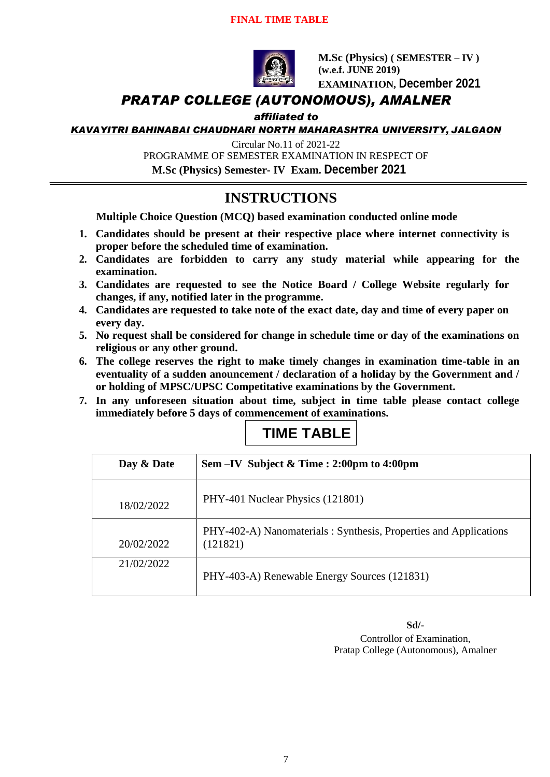#### **FINAL TIME TABLE**



**M.Sc (Physics) ( SEMESTER – IV ) (w.e.f. JUNE 2019) EXAMINATION, December 2021**

### *PRATAP COLLEGE (AUTONOMOUS), AMALNER*

#### *affiliated to*

*KAVAYITRI BAHINABAI CHAUDHARI NORTH MAHARASHTRA UNIVERSITY, JALGAON*

Circular No.11 of 2021-22

PROGRAMME OF SEMESTER EXAMINATION IN RESPECT OF **M.Sc (Physics) Semester- IV Exam. December 2021**

# **INSTRUCTIONS**

**Multiple Choice Question (MCQ) based examination conducted online mode**

- **1. Candidates should be present at their respective place where internet connectivity is proper before the scheduled time of examination.**
- **2. Candidates are forbidden to carry any study material while appearing for the examination.**
- **3. Candidates are requested to see the Notice Board / College Website regularly for changes, if any, notified later in the programme.**
- **4. Candidates are requested to take note of the exact date, day and time of every paper on every day.**
- **5. No request shall be considered for change in schedule time or day of the examinations on religious or any other ground.**
- **6. The college reserves the right to make timely changes in examination time-table in an eventuality of a sudden anouncement / declaration of a holiday by the Government and / or holding of MPSC/UPSC Competitative examinations by the Government.**
- **7. In any unforeseen situation about time, subject in time table please contact college immediately before 5 days of commencement of examinations.**

# **TIME TABLE**

| Day & Date | Sem $-IV$ Subject & Time : 2:00pm to 4:00pm                                  |
|------------|------------------------------------------------------------------------------|
| 18/02/2022 | PHY-401 Nuclear Physics (121801)                                             |
| 20/02/2022 | PHY-402-A) Nanomaterials: Synthesis, Properties and Applications<br>(121821) |
| 21/02/2022 | PHY-403-A) Renewable Energy Sources (121831)                                 |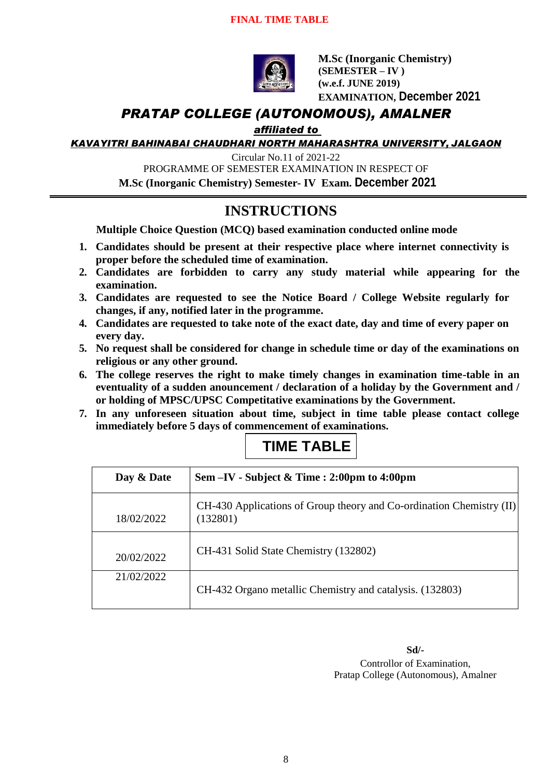

**M.Sc (Inorganic Chemistry) (SEMESTER – IV ) (w.e.f. JUNE 2019) EXAMINATION, December 2021**

## *PRATAP COLLEGE (AUTONOMOUS), AMALNER*

*affiliated to* 

*KAVAYITRI BAHINABAI CHAUDHARI NORTH MAHARASHTRA UNIVERSITY, JALGAON*

Circular No.11 of 2021-22 PROGRAMME OF SEMESTER EXAMINATION IN RESPECT OF **M.Sc (Inorganic Chemistry) Semester- IV Exam. December 2021**

# **INSTRUCTIONS**

**Multiple Choice Question (MCQ) based examination conducted online mode**

- **1. Candidates should be present at their respective place where internet connectivity is proper before the scheduled time of examination.**
- **2. Candidates are forbidden to carry any study material while appearing for the examination.**
- **3. Candidates are requested to see the Notice Board / College Website regularly for changes, if any, notified later in the programme.**
- **4. Candidates are requested to take note of the exact date, day and time of every paper on every day.**
- **5. No request shall be considered for change in schedule time or day of the examinations on religious or any other ground.**
- **6. The college reserves the right to make timely changes in examination time-table in an eventuality of a sudden anouncement / declaration of a holiday by the Government and / or holding of MPSC/UPSC Competitative examinations by the Government.**
- **7. In any unforeseen situation about time, subject in time table please contact college immediately before 5 days of commencement of examinations.**

# **TIME TABLE**

| Day & Date | Sem $-IV$ - Subject & Time : 2:00pm to 4:00pm                                    |
|------------|----------------------------------------------------------------------------------|
| 18/02/2022 | CH-430 Applications of Group theory and Co-ordination Chemistry (II)<br>(132801) |
| 20/02/2022 | CH-431 Solid State Chemistry (132802)                                            |
| 21/02/2022 | CH-432 Organo metallic Chemistry and catalysis. (132803)                         |